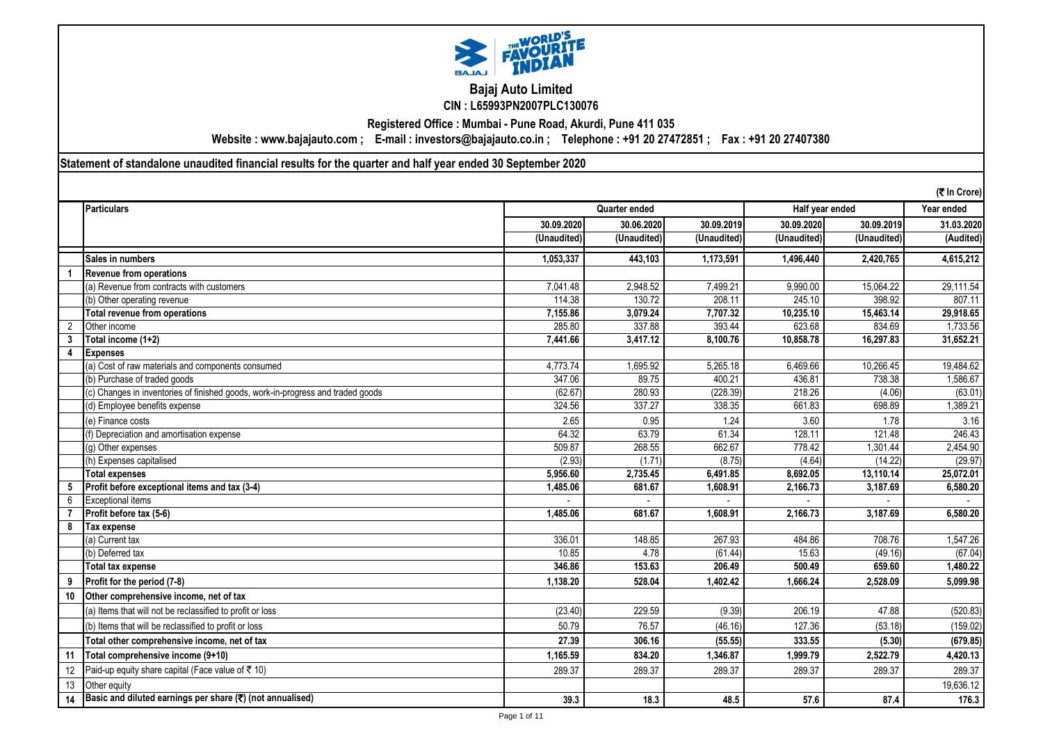

**Bajaj Auto Limited CIN : L65993PN2007PLC130076**

**Registered Office : Mumbai - Pune Road, Akurdi, Pune 411 035**

**Website : www.bajajauto.com ; E-mail : investors@bajajauto.co.in ; Telephone : +91 20 27472851 ; Fax : +91 20 27407380**

**Statement of standalone unaudited financial results for the quarter and half year ended 30 September 2020**

|                |                                                                                 |             |               |             |             |                 | (₹ In Crore) |
|----------------|---------------------------------------------------------------------------------|-------------|---------------|-------------|-------------|-----------------|--------------|
|                | <b>Particulars</b>                                                              |             | Quarter ended |             |             | Half year ended | Year ended   |
|                |                                                                                 | 30.09.2020  | 30.06.2020    | 30.09.2019  | 30.09.2020  | 30.09.2019      | 31.03.2020   |
|                |                                                                                 | (Unaudited) | (Unaudited)   | (Unaudited) | (Unaudited) | (Unaudited)     | (Audited)    |
|                | Sales in numbers                                                                | 1,053,337   | 443,103       | 1,173,591   | 1,496,440   | 2,420,765       | 4,615,212    |
|                | <b>Revenue from operations</b>                                                  |             |               |             |             |                 |              |
|                | (a) Revenue from contracts with customers                                       | 7,041.48    | 2,948.52      | 7,499.21    | 9,990.00    | 15,064.22       | 29,111.54    |
|                | (b) Other operating revenue                                                     | 114.38      | 130.72        | 208.11      | 245.10      | 398.92          | 807.11       |
|                | Total revenue from operations                                                   | 7,155.86    | 3,079.24      | 7,707.32    | 10,235.10   | 15,463.14       | 29,918.65    |
| $\overline{2}$ | Other income                                                                    | 285.80      | 337.88        | 393.44      | 623.68      | 834.69          | 1,733.56     |
|                | Total income (1+2)                                                              | 7,441.66    | 3,417.12      | 8.100.76    | 10.858.78   | 16,297.83       | 31.652.21    |
| 4              | <b>Expenses</b>                                                                 |             |               |             |             |                 |              |
|                | (a) Cost of raw materials and components consumed                               | 4,773.74    | 1,695.92      | 5,265.18    | 6,469.66    | 10,266.45       | 19,484.62    |
|                | (b) Purchase of traded goods                                                    | 347.06      | 89.75         | 400.21      | 436.81      | 738.38          | 1,586.67     |
|                | (c) Changes in inventories of finished goods, work-in-progress and traded goods | (62.67)     | 280.93        | (228.39)    | 218.26      | (4.06)          | (63.01)      |
|                | (d) Employee benefits expense                                                   | 324.56      | 337.27        | 338.35      | 661.83      | 698.89          | 1,389.21     |
|                | (e) Finance costs                                                               | 2.65        | 0.95          | 1.24        | 3.60        | 1.78            | 3.16         |
|                | (f) Depreciation and amortisation expense                                       | 64.32       | 63.79         | 61.34       | 128.11      | 121.48          | 246.43       |
|                | (g) Other expenses                                                              | 509.87      | 268.55        | 662.67      | 778.42      | 1.301.44        | 2,454.90     |
|                | (h) Expenses capitalised                                                        | (2.93)      | (1.71)        | (8.75)      | (4.64)      | (14.22)         | (29.97)      |
|                | <b>Total expenses</b>                                                           | 5,956.60    | 2,735.45      | 6,491.85    | 8,692.05    | 13,110.14       | 25,072.01    |
|                | Profit before exceptional items and tax (3-4)                                   | 1,485.06    | 681.67        | 1,608.91    | 2,166.73    | 3,187.69        | 6,580.20     |
| 6              | <b>Exceptional items</b>                                                        |             |               |             |             |                 |              |
|                | Profit before tax (5-6)                                                         | 1.485.06    | 681.67        | 1.608.91    | 2.166.73    | 3,187.69        | 6,580.20     |
| 8              | Tax expense                                                                     |             |               |             |             |                 |              |
|                | (a) Current tax                                                                 | 336.01      | 148.85        | 267.93      | 484.86      | 708.76          | 1,547.26     |
|                | (b) Deferred tax                                                                | 10.85       | 4.78          | (61.44)     | 15.63       | (49.16)         | (67.04)      |
|                | <b>Total tax expense</b>                                                        | 346.86      | 153.63        | 206.49      | 500.49      | 659.60          | 1.480.22     |
|                | Profit for the period (7-8)                                                     | 1,138.20    | 528.04        | 1,402.42    | 1,666.24    | 2,528.09        | 5,099.98     |
| 10             | Other comprehensive income, net of tax                                          |             |               |             |             |                 |              |
|                | (a) Items that will not be reclassified to profit or loss                       | (23.40)     | 229.59        | (9.39)      | 206.19      | 47.88           | (520.83)     |
|                | (b) Items that will be reclassified to profit or loss                           | 50.79       | 76.57         | (46.16)     | 127.36      | (53.18)         | (159.02)     |
|                | Total other comprehensive income, net of tax                                    | 27.39       | 306.16        | (55.55)     | 333.55      | (5.30)          | (679.85)     |
| 11             | Total comprehensive income (9+10)                                               | 1,165.59    | 834.20        | 1,346.87    | 1,999.79    | 2,522.79        | 4,420.13     |
| 12             | Paid-up equity share capital (Face value of ₹ 10)                               | 289.37      | 289.37        | 289.37      | 289.37      | 289.37          | 289.37       |
|                |                                                                                 |             |               |             |             |                 |              |
| 13             | Other equity                                                                    |             |               |             |             |                 | 19,636.12    |
| 14             | Basic and diluted earnings per share (₹) (not annualised)                       | 39.3        | 18.3          | 48.5        | 57.6        | 87.4            | 176.3        |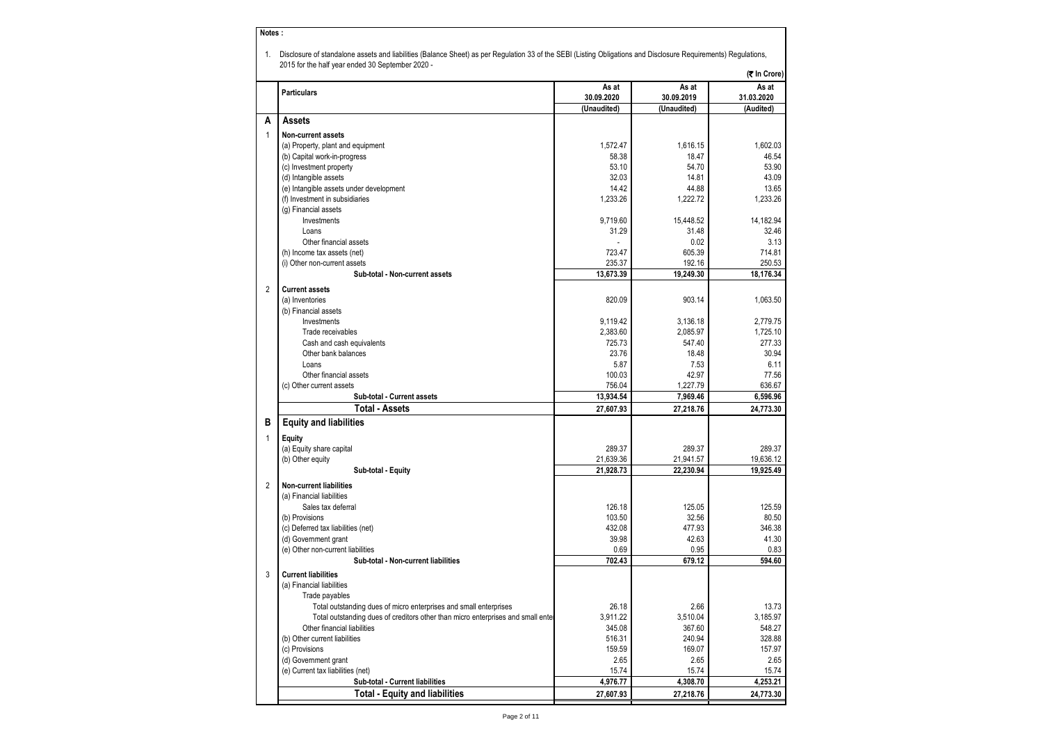|   | <b>Particulars</b>                                                              | As at             |                     | (そ In Crore)        |
|---|---------------------------------------------------------------------------------|-------------------|---------------------|---------------------|
|   |                                                                                 |                   |                     |                     |
|   |                                                                                 | 30.09.2020        | As at<br>30.09.2019 | As at<br>31.03.2020 |
| А | <b>Assets</b>                                                                   | (Unaudited)       | (Unaudited)         | (Audited)           |
|   |                                                                                 |                   |                     |                     |
| 1 | Non-current assets                                                              |                   |                     |                     |
|   | (a) Property, plant and equipment                                               | 1,572.47          | 1,616.15            | 1,602.03            |
|   | (b) Capital work-in-progress                                                    | 58.38<br>53.10    | 18.47<br>54.70      | 46.54               |
|   | (c) Investment property<br>(d) Intangible assets                                | 32.03             | 14.81               | 53.90               |
|   |                                                                                 | 14.42             |                     | 43.09               |
|   | (e) Intangible assets under development                                         | 1,233.26          | 44.88<br>1,222.72   | 13.65               |
|   | (f) Investment in subsidiaries<br>(g) Financial assets                          |                   |                     | 1,233.26            |
|   | Investments                                                                     | 9,719.60          | 15,448.52           | 14,182.94           |
|   | Loans                                                                           | 31.29             | 31.48               | 32.46               |
|   | Other financial assets                                                          |                   | 0.02                | 3.13                |
|   | (h) Income tax assets (net)                                                     | 723.47            | 605.39              | 714.81              |
|   | (i) Other non-current assets                                                    | 235.37            | 192.16              | 250.53              |
|   | Sub-total - Non-current assets                                                  | 13,673.39         | 19,249.30           | 18,176.34           |
|   |                                                                                 |                   |                     |                     |
| 2 | <b>Current assets</b>                                                           |                   |                     |                     |
|   | (a) Inventories                                                                 | 820.09            | 903.14              | 1,063.50            |
|   | (b) Financial assets                                                            |                   |                     |                     |
|   | Investments                                                                     | 9,119.42          | 3,136.18            | 2,779.75            |
|   | Trade receivables                                                               | 2,383.60          | 2.085.97            | 1,725.10            |
|   | Cash and cash equivalents                                                       | 725.73            | 547.40              | 277.33              |
|   | Other bank balances                                                             | 23.76             | 18.48               | 30.94               |
|   | Loans                                                                           | 5.87              | 7.53                | 6.11                |
|   | Other financial assets                                                          | 100.03            | 42.97               | 77.56               |
|   | (c) Other current assets                                                        | 756.04            | 1,227.79            | 636.67              |
|   | Sub-total - Current assets                                                      | 13,934.54         | 7,969.46            | 6,596.96            |
|   | Total - Assets                                                                  | 27,607.93         | 27,218.76           | 24,773.30           |
| в | <b>Equity and liabilities</b>                                                   |                   |                     |                     |
| 1 | Equity                                                                          |                   |                     |                     |
|   | (a) Equity share capital                                                        | 289.37            | 289.37              | 289.37              |
|   | (b) Other equity                                                                | 21,639.36         | 21,941.57           | 19,636.12           |
|   | Sub-total - Equity                                                              | 21,928.73         | 22,230.94           | 19,925.49           |
| 2 | <b>Non-current liabilities</b>                                                  |                   |                     |                     |
|   | (a) Financial liabilities                                                       |                   |                     |                     |
|   | Sales tax deferral                                                              | 126.18            | 125.05              | 125.59              |
|   | (b) Provisions                                                                  | 103.50            | 32.56               | 80.50               |
|   | (c) Deferred tax liabilities (net)                                              | 432.08            | 477.93              | 346.38              |
|   | (d) Government grant                                                            | 39.98             | 42.63               | 41.30               |
|   | (e) Other non-current liabilities                                               | 0.69              | 0.95                | 0.83                |
|   | Sub-total - Non-current liabilities                                             | 702.43            | 679.12              | 594.60              |
| 3 | <b>Current liabilities</b>                                                      |                   |                     |                     |
|   | (a) Financial liabilities                                                       |                   |                     |                     |
|   | Trade payables                                                                  |                   |                     |                     |
|   | Total outstanding dues of micro enterprises and small enterprises               | 26.18             | 2.66                | 13.73               |
|   | Total outstanding dues of creditors other than micro enterprises and small ente | 3,911.22          | 3,510.04            | 3,185.97            |
|   | Other financial liabilities                                                     | 345.08            | 367.60              | 548.27              |
|   | (b) Other current liabilities                                                   | 516.31            | 240.94              | 328.88              |
|   | (c) Provisions                                                                  | 159.59            | 169.07              | 157.97              |
|   |                                                                                 |                   |                     |                     |
|   |                                                                                 |                   |                     |                     |
|   | (d) Government grant                                                            | 2.65              | 2.65<br>15.74       | 2.65                |
|   | (e) Current tax liabilities (net)<br>Sub-total - Current liabilities            | 15.74<br>4,976.77 | 4,308.70            | 15.74<br>4,253.21   |

Page 2 of 11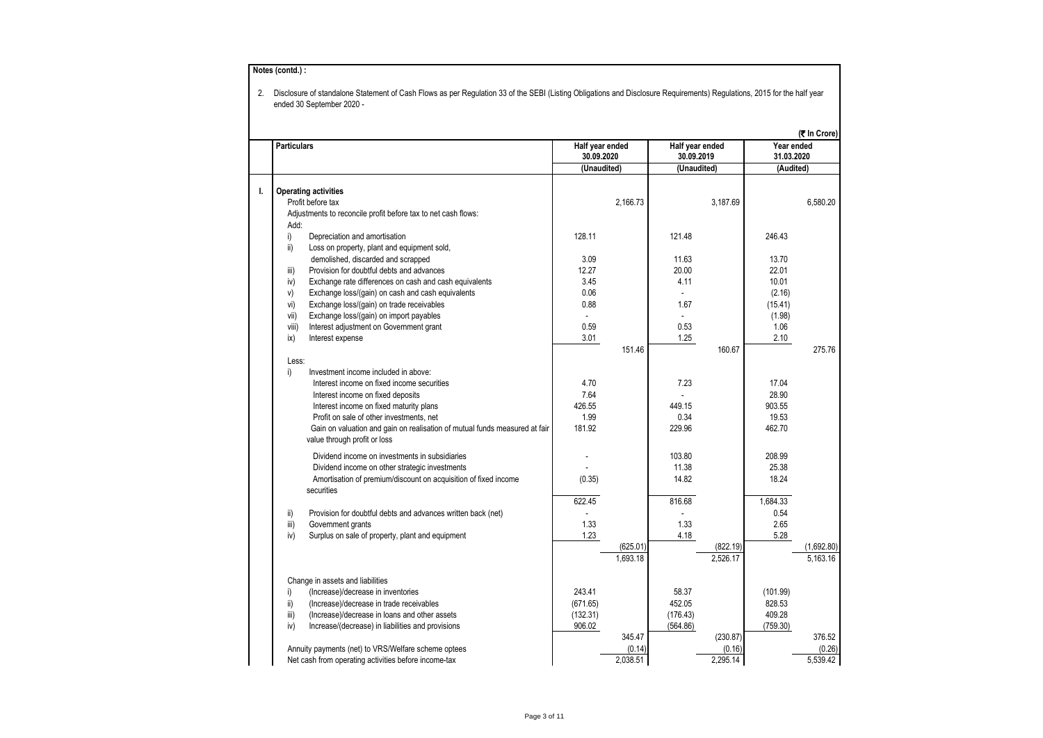|       | <b>Particulars</b>                                                         | Half year ended |          | Half year ended |                      | Year ended | (₹ In Crore) |
|-------|----------------------------------------------------------------------------|-----------------|----------|-----------------|----------------------|------------|--------------|
|       |                                                                            | 30.09.2020      |          | 30.09.2019      |                      | 31.03.2020 |              |
|       |                                                                            | (Unaudited)     |          | (Unaudited)     |                      | (Audited)  |              |
| L.    | <b>Operating activities</b>                                                |                 |          |                 |                      |            |              |
|       | Profit before tax                                                          |                 | 2,166.73 |                 | 3,187.69             |            | 6,580.20     |
|       | Adjustments to reconcile profit before tax to net cash flows:              |                 |          |                 |                      |            |              |
|       | Add:                                                                       |                 |          |                 |                      |            |              |
| i)    | Depreciation and amortisation                                              | 128.11          |          | 121.48          |                      | 246.43     |              |
| ii)   | Loss on property, plant and equipment sold,                                |                 |          |                 |                      |            |              |
|       | demolished, discarded and scrapped                                         | 3.09            |          | 11.63           |                      | 13.70      |              |
| iii)  | Provision for doubtful debts and advances                                  | 12.27           |          | 20.00           |                      | 22.01      |              |
| iv)   | Exchange rate differences on cash and cash equivalents                     | 3.45            |          | 4.11            |                      | 10.01      |              |
| V)    | Exchange loss/(gain) on cash and cash equivalents                          | 0.06            |          |                 |                      | (2.16)     |              |
| vi)   | Exchange loss/(gain) on trade receivables                                  | 0.88            |          | 1.67            |                      | (15.41)    |              |
| vii)  | Exchange loss/(gain) on import payables                                    | $\mathbf{r}$    |          | $\mathbf{r}$    |                      | (1.98)     |              |
| viii) | Interest adjustment on Government grant                                    | 0.59            |          | 0.53            |                      | 1.06       |              |
| ix)   | Interest expense                                                           | 3.01            |          | 1.25            |                      | 2.10       |              |
|       |                                                                            |                 | 151.46   |                 | 160.67               |            | 275.76       |
|       | Less:                                                                      |                 |          |                 |                      |            |              |
| i)    | Investment income included in above:                                       |                 |          |                 |                      |            |              |
|       | Interest income on fixed income securities                                 | 4.70            |          | 7.23            |                      | 17.04      |              |
|       | Interest income on fixed deposits                                          | 7.64            |          |                 |                      | 28.90      |              |
|       | Interest income on fixed maturity plans                                    | 426.55          |          | 449.15          |                      | 903.55     |              |
|       | Profit on sale of other investments, net                                   | 1.99            |          | 0.34            |                      | 19.53      |              |
|       | Gain on valuation and gain on realisation of mutual funds measured at fair | 181.92          |          | 229.96          |                      | 462.70     |              |
|       | value through profit or loss                                               |                 |          |                 |                      |            |              |
|       | Dividend income on investments in subsidiaries                             |                 |          | 103.80          |                      | 208.99     |              |
|       | Dividend income on other strategic investments                             |                 |          | 11.38           |                      | 25.38      |              |
|       | Amortisation of premium/discount on acquisition of fixed income            | (0.35)          |          | 14.82           |                      | 18.24      |              |
|       | securities                                                                 |                 |          |                 |                      |            |              |
|       |                                                                            | 622.45          |          | 816.68          |                      | 1,684.33   |              |
| ii)   | Provision for doubtful debts and advances written back (net)               |                 |          |                 |                      | 0.54       |              |
| iii)  | Government grants                                                          | 1.33            |          | 1.33            |                      | 2.65       |              |
| iv)   | Surplus on sale of property, plant and equipment                           | 1.23            |          | 4.18            |                      | 5.28       |              |
|       |                                                                            |                 | (625.01) |                 | (822.19)<br>2,526.17 |            | (1,692.80)   |
|       |                                                                            |                 | 1,693.18 |                 |                      |            | 5,163.16     |
|       | Change in assets and liabilities                                           |                 |          |                 |                      |            |              |
| i)    | (Increase)/decrease in inventories                                         | 243.41          |          | 58.37           |                      | (101.99)   |              |
| ii)   | (Increase)/decrease in trade receivables                                   | (671.65)        |          | 452.05          |                      | 828.53     |              |
| iii)  | (Increase)/decrease in loans and other assets                              | (132.31)        |          | (176.43)        |                      | 409.28     |              |
| iv)   | Increase/(decrease) in liabilities and provisions                          | 906.02          |          | (564.86)        |                      | (759.30)   |              |
|       |                                                                            |                 | 345.47   |                 | (230.87)             |            | 376.52       |
|       | Annuity payments (net) to VRS/Welfare scheme optees                        |                 | (0.14)   |                 | (0.16)               |            | (0.26)       |
|       | Net cash from operating activities before income-tax                       |                 | 2,038.51 |                 | 2,295.14             |            | 5,539.42     |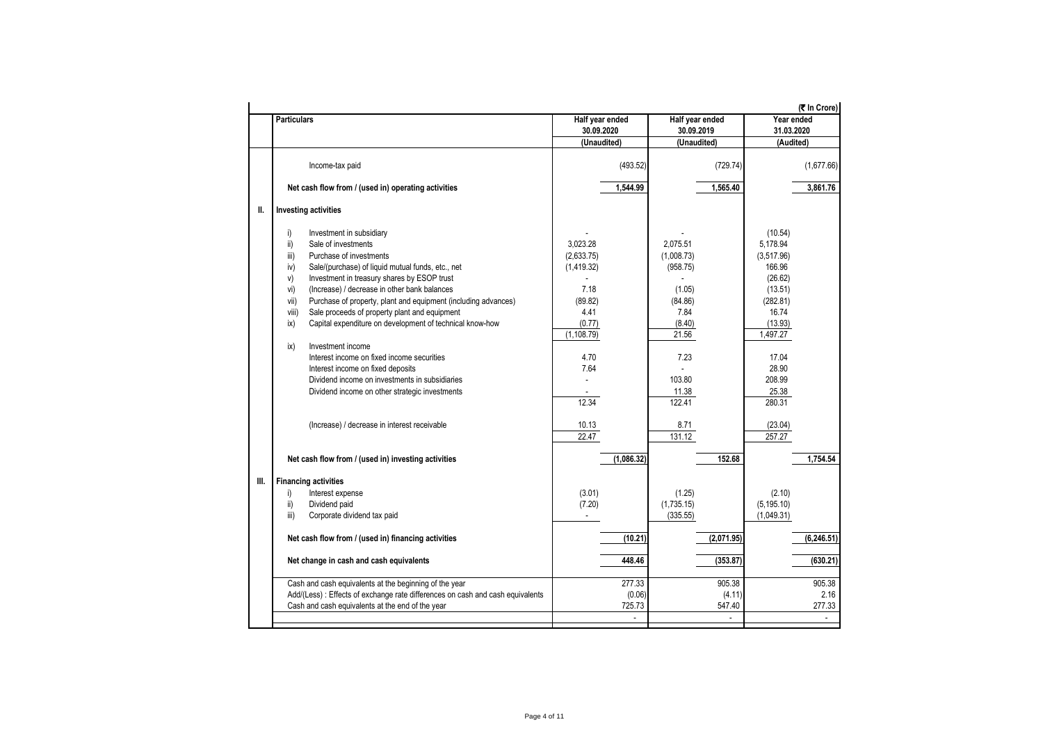|      |                                                                                                                                                                                                                                                                                                                                                                                                                                                                                                                                                                                                                                                                                                             |                                                                                                                   |                                                                                                                         | (<br>The Crore)                                                                                                                                              |
|------|-------------------------------------------------------------------------------------------------------------------------------------------------------------------------------------------------------------------------------------------------------------------------------------------------------------------------------------------------------------------------------------------------------------------------------------------------------------------------------------------------------------------------------------------------------------------------------------------------------------------------------------------------------------------------------------------------------------|-------------------------------------------------------------------------------------------------------------------|-------------------------------------------------------------------------------------------------------------------------|--------------------------------------------------------------------------------------------------------------------------------------------------------------|
|      | <b>Particulars</b>                                                                                                                                                                                                                                                                                                                                                                                                                                                                                                                                                                                                                                                                                          | Half year ended                                                                                                   | Half year ended                                                                                                         | Year ended                                                                                                                                                   |
|      |                                                                                                                                                                                                                                                                                                                                                                                                                                                                                                                                                                                                                                                                                                             | 30.09.2020<br>(Unaudited)                                                                                         | 30.09.2019<br>(Unaudited)                                                                                               | 31.03.2020                                                                                                                                                   |
|      |                                                                                                                                                                                                                                                                                                                                                                                                                                                                                                                                                                                                                                                                                                             |                                                                                                                   |                                                                                                                         | (Audited)                                                                                                                                                    |
|      | Income-tax paid                                                                                                                                                                                                                                                                                                                                                                                                                                                                                                                                                                                                                                                                                             | (493.52)                                                                                                          | (729.74)                                                                                                                | (1,677.66)                                                                                                                                                   |
|      | Net cash flow from / (used in) operating activities                                                                                                                                                                                                                                                                                                                                                                                                                                                                                                                                                                                                                                                         | 1,544.99                                                                                                          | 1,565.40                                                                                                                | 3,861.76                                                                                                                                                     |
| Ш.   | <b>Investing activities</b>                                                                                                                                                                                                                                                                                                                                                                                                                                                                                                                                                                                                                                                                                 |                                                                                                                   |                                                                                                                         |                                                                                                                                                              |
|      | i)<br>Investment in subsidiary<br>$\mathsf{ii}$<br>Sale of investments<br>Purchase of investments<br>iii)<br>Sale/(purchase) of liquid mutual funds, etc., net<br>iv)<br>Investment in treasury shares by ESOP trust<br>V)<br>(Increase) / decrease in other bank balances<br>vi)<br>Purchase of property, plant and equipment (including advances)<br>vii)<br>Sale proceeds of property plant and equipment<br>viii)<br>Capital expenditure on development of technical know-how<br>ix)<br>Investment income<br>ix)<br>Interest income on fixed income securities<br>Interest income on fixed deposits<br>Dividend income on investments in subsidiaries<br>Dividend income on other strategic investments | 3.023.28<br>(2,633.75)<br>(1,419.32)<br>7.18<br>(89.82)<br>4.41<br>(0.77)<br>(1, 108.79)<br>4.70<br>7.64<br>12.34 | 2.075.51<br>(1,008.73)<br>(958.75)<br>(1.05)<br>(84.86)<br>7.84<br>(8.40)<br>21.56<br>7.23<br>103.80<br>11.38<br>122.41 | (10.54)<br>5,178.94<br>(3,517.96)<br>166.96<br>(26.62)<br>(13.51)<br>(282.81)<br>16.74<br>(13.93)<br>1,497.27<br>17.04<br>28.90<br>208.99<br>25.38<br>280.31 |
|      | (Increase) / decrease in interest receivable                                                                                                                                                                                                                                                                                                                                                                                                                                                                                                                                                                                                                                                                | 10.13<br>22.47                                                                                                    | 8.71<br>131.12                                                                                                          | (23.04)<br>257.27                                                                                                                                            |
|      | Net cash flow from / (used in) investing activities                                                                                                                                                                                                                                                                                                                                                                                                                                                                                                                                                                                                                                                         | (1,086.32)                                                                                                        | 152.68                                                                                                                  | 1,754.54                                                                                                                                                     |
| III. | <b>Financing activities</b>                                                                                                                                                                                                                                                                                                                                                                                                                                                                                                                                                                                                                                                                                 |                                                                                                                   |                                                                                                                         |                                                                                                                                                              |
|      | i)<br>Interest expense                                                                                                                                                                                                                                                                                                                                                                                                                                                                                                                                                                                                                                                                                      | (3.01)                                                                                                            | (1.25)                                                                                                                  | (2.10)                                                                                                                                                       |
|      | ii)<br>Dividend paid                                                                                                                                                                                                                                                                                                                                                                                                                                                                                                                                                                                                                                                                                        | (7.20)                                                                                                            | (1,735.15)                                                                                                              | (5, 195.10)                                                                                                                                                  |
|      | iii)<br>Corporate dividend tax paid                                                                                                                                                                                                                                                                                                                                                                                                                                                                                                                                                                                                                                                                         | ×.                                                                                                                | (335.55)                                                                                                                | (1,049.31)                                                                                                                                                   |
|      | Net cash flow from / (used in) financing activities                                                                                                                                                                                                                                                                                                                                                                                                                                                                                                                                                                                                                                                         | (10.21)                                                                                                           | (2,071.95)                                                                                                              | (6, 246.51)                                                                                                                                                  |
|      | Net change in cash and cash equivalents                                                                                                                                                                                                                                                                                                                                                                                                                                                                                                                                                                                                                                                                     | 448.46                                                                                                            | (353.87)                                                                                                                | (630.21)                                                                                                                                                     |
|      | Cash and cash equivalents at the beginning of the year<br>Add/(Less): Effects of exchange rate differences on cash and cash equivalents<br>Cash and cash equivalents at the end of the year                                                                                                                                                                                                                                                                                                                                                                                                                                                                                                                 | 277.33<br>(0.06)<br>725.73<br>÷.                                                                                  | 905.38<br>(4.11)<br>547.40                                                                                              | 905.38<br>2.16<br>277.33<br>÷                                                                                                                                |
|      |                                                                                                                                                                                                                                                                                                                                                                                                                                                                                                                                                                                                                                                                                                             |                                                                                                                   |                                                                                                                         |                                                                                                                                                              |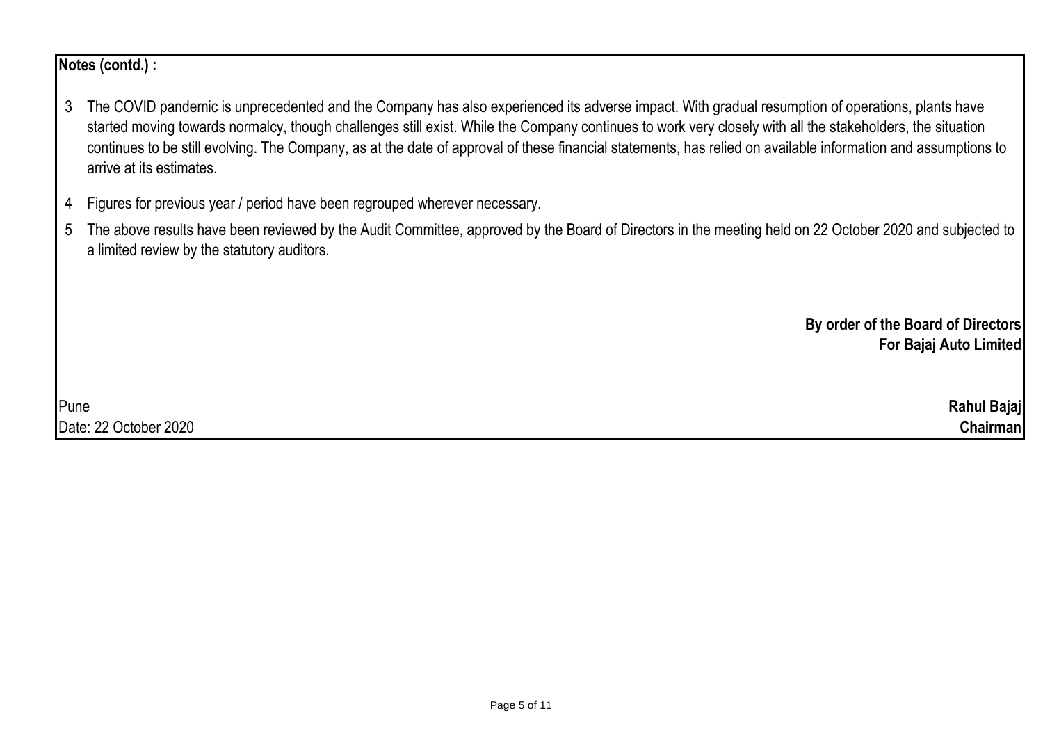**Notes (contd.) :**

- 3 The COVID pandemic is unprecedented and the Company has also experienced its adverse impact. With gradual resumption of operations, plants have started moving towards normalcy, though challenges still exist. While the Company continues to work very closely with all the stakeholders, the situation continues to be still evolving. The Company, as at the date of approval of these financial statements, has relied on available information and assumptions to arrive at its estimates.
- 4 Figures for previous year / period have been regrouped wherever necessary.
- 5 The above results have been reviewed by the Audit Committee, approved by the Board of Directors in the meeting held on 22 October 2020 and subjected to a limited review by the statutory auditors.

**By order of the Board of Directors For Bajaj Auto Limited**

Pune **Rahul Bajaj** Date: 22 October 2020 **Chairman**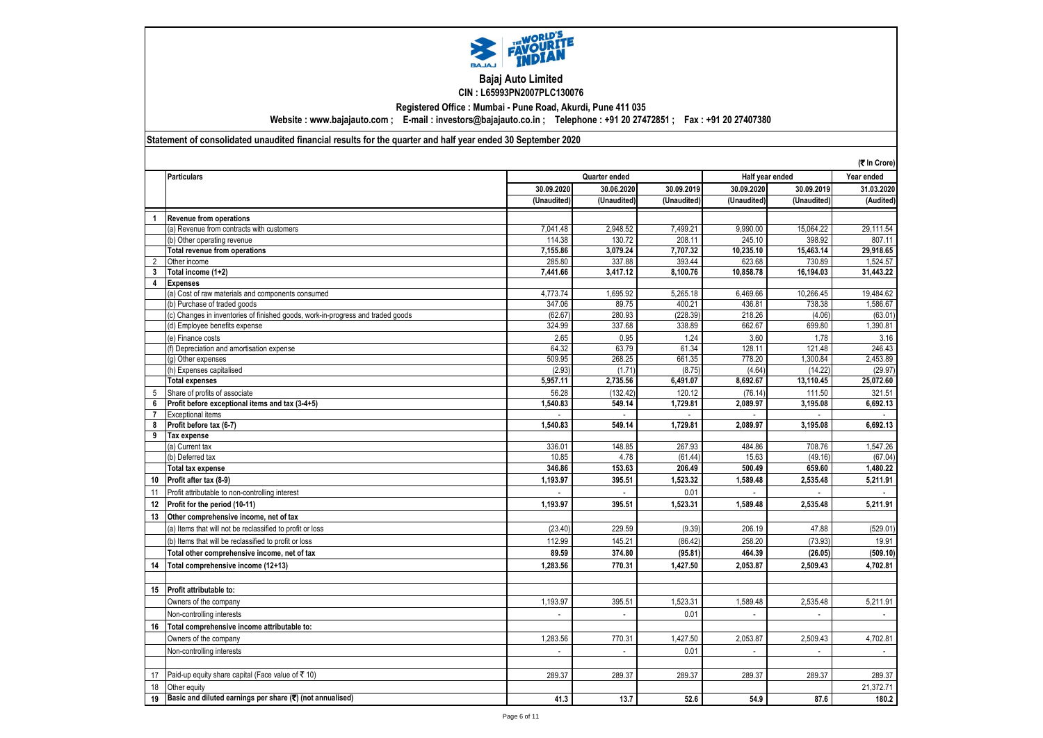

## **Bajaj Auto Limited CIN : L65993PN2007PLC130076**

**Registered Office : Mumbai - Pune Road, Akurdi, Pune 411 035**

**Website : www.bajajauto.com ; E-mail : investors@bajajauto.co.in ; Telephone : +91 20 27472851 ; Fax : +91 20 27407380**

**Statement of consolidated unaudited financial results for the quarter and half year ended 30 September 2020**

|                |                                                                                 |                |                          |             |             | (₹ In Crore)    |                |
|----------------|---------------------------------------------------------------------------------|----------------|--------------------------|-------------|-------------|-----------------|----------------|
|                | <b>Particulars</b>                                                              |                | Quarter ended            |             |             | Half year ended | Year ended     |
|                |                                                                                 | 30.09.2020     | 30.06.2020               | 30.09.2019  | 30.09.2020  | 30.09.2019      | 31.03.2020     |
|                |                                                                                 | (Unaudited)    | (Unaudited)              | (Unaudited) | (Unaudited) | (Unaudited)     | (Audited)      |
| 1              | <b>Revenue from operations</b>                                                  |                |                          |             |             |                 |                |
|                | (a) Revenue from contracts with customers                                       | 7,041.48       | 2,948.52                 | 7.499.21    | 9.990.00    | 15,064.22       | 29.111.54      |
|                | (b) Other operating revenue                                                     | 114.38         | 130.72                   | 208.11      | 245.10      | 398.92          | 807.11         |
|                | <b>Total revenue from operations</b>                                            | 7,155.86       | 3,079.24                 | 7,707.32    | 10,235.10   | 15,463.14       | 29,918.65      |
| 2              | Other income                                                                    | 285.80         | 337.88                   | 393.44      | 623.68      | 730.89          | 1,524.57       |
| 3              | Total income (1+2)                                                              | 7,441.66       | 3,417.12                 | 8,100.76    | 10,858.78   | 16,194.03       | 31,443.22      |
| 4              | <b>Expenses</b>                                                                 |                |                          |             |             |                 |                |
|                | (a) Cost of raw materials and components consumed                               | 4,773.74       | 1,695.92                 | 5,265.18    | 6,469.66    | 10,266.45       | 19,484.62      |
|                | (b) Purchase of traded goods                                                    | 347.06         | 89.75                    | 400.21      | 436.81      | 738.38          | 1,586.67       |
|                | (c) Changes in inventories of finished goods, work-in-progress and traded goods | (62.67)        | 280.93                   | (228.39)    | 218.26      | (4.06)          | (63.01)        |
|                | (d) Employee benefits expense                                                   | 324.99         | 337.68                   | 338.89      | 662.67      | 699.80          | 1,390.81       |
|                | (e) Finance costs                                                               | 2.65           | 0.95                     | 1.24        | 3.60        | 1.78            | 3.16           |
|                | (f) Depreciation and amortisation expense                                       | 64.32          | 63.79                    | 61.34       | 128.11      | 121.48          | 246.43         |
|                | (q) Other expenses                                                              | 509.95         | 268.25                   | 661.35      | 778.20      | 1,300.84        | 2,453.89       |
|                | (h) Expenses capitalised                                                        | (2.93)         | (1.71)                   | (8.75)      | (4.64)      | (14.22)         | (29.97)        |
|                | <b>Total expenses</b>                                                           | 5,957.11       | 2,735.56                 | 6,491.07    | 8,692.67    | 13,110.45       | 25,072.60      |
| 5              | Share of profits of associate                                                   | 56.28          | (132.42)                 | 120.12      | (76.14)     | 111.50          | 321.51         |
| 6              | Profit before exceptional items and tax (3-4+5)                                 | 1,540.83       | 549.14                   | 1,729.81    | 2,089.97    | 3,195.08        | 6,692.13       |
| $\overline{7}$ | <b>Exceptional items</b>                                                        |                |                          |             |             |                 |                |
| 8              | Profit before tax (6-7)                                                         | 1,540.83       | 549.14                   | 1.729.81    | 2.089.97    | 3,195.08        | 6,692.13       |
| 9              | Tax expense                                                                     |                |                          |             |             |                 |                |
|                | (a) Current tax                                                                 | 336.01         | 148.85                   | 267.93      | 484.86      | 708.76          | 1,547.26       |
|                | (b) Deferred tax                                                                | 10.85          | 4.78                     | (61.44)     | 15.63       | (49.16)         | (67.04)        |
|                | <b>Total tax expense</b>                                                        | 346.86         | 153.63                   | 206.49      | 500.49      | 659.60          | 1,480.22       |
| 10             | Profit after tax (8-9)                                                          | 1,193.97       | 395.51                   | 1,523.32    | 1,589.48    | 2,535.48        | 5,211.91       |
| 11             | Profit attributable to non-controlling interest                                 |                | $\overline{\phantom{a}}$ | 0.01        |             |                 |                |
| 12             | Profit for the period (10-11)                                                   | 1,193.97       | 395.51                   | 1,523.31    | 1,589.48    | 2,535.48        | 5,211.91       |
| 13             | Other comprehensive income, net of tax                                          |                |                          |             |             |                 |                |
|                | (a) Items that will not be reclassified to profit or loss                       | (23.40)        | 229.59                   | (9.39)      | 206.19      | 47.88           | (529.01)       |
|                | (b) Items that will be reclassified to profit or loss                           | 112.99         | 145.21                   | (86.42)     | 258.20      | (73.93)         | 19.91          |
|                | Total other comprehensive income, net of tax                                    | 89.59          | 374.80                   | (95.81)     | 464.39      | (26.05)         | (509.10)       |
| 14             | Total comprehensive income (12+13)                                              | 1.283.56       | 770.31                   | 1.427.50    | 2.053.87    | 2.509.43        | 4,702.81       |
|                |                                                                                 |                |                          |             |             |                 |                |
| 15             | Profit attributable to:                                                         |                |                          |             |             |                 |                |
|                | Owners of the company                                                           | 1,193.97       | 395.51                   | 1,523.31    | 1,589.48    | 2,535.48        | 5,211.91       |
|                | Non-controlling interests                                                       | $\overline{a}$ | $\overline{\phantom{a}}$ | 0.01        |             |                 |                |
| 16             | Total comprehensive income attributable to:                                     |                |                          |             |             |                 |                |
|                | Owners of the company                                                           | 1,283.56       | 770.31                   | 1,427.50    | 2,053.87    | 2,509.43        | 4,702.81       |
|                | Non-controlling interests                                                       |                |                          | 0.01        |             |                 | $\blacksquare$ |
|                |                                                                                 |                |                          |             |             |                 |                |
| 17             | Paid-up equity share capital (Face value of ₹10)                                | 289.37         | 289.37                   | 289.37      | 289.37      | 289.37          | 289.37         |
| 18             | Other equity                                                                    |                |                          |             |             |                 | 21,372.71      |
| 19             | Basic and diluted earnings per share (₹) (not annualised)                       | 41.3           | 13.7                     | 52.6        | 54.9        | 87.6            | 180.2          |
|                |                                                                                 |                |                          |             |             |                 |                |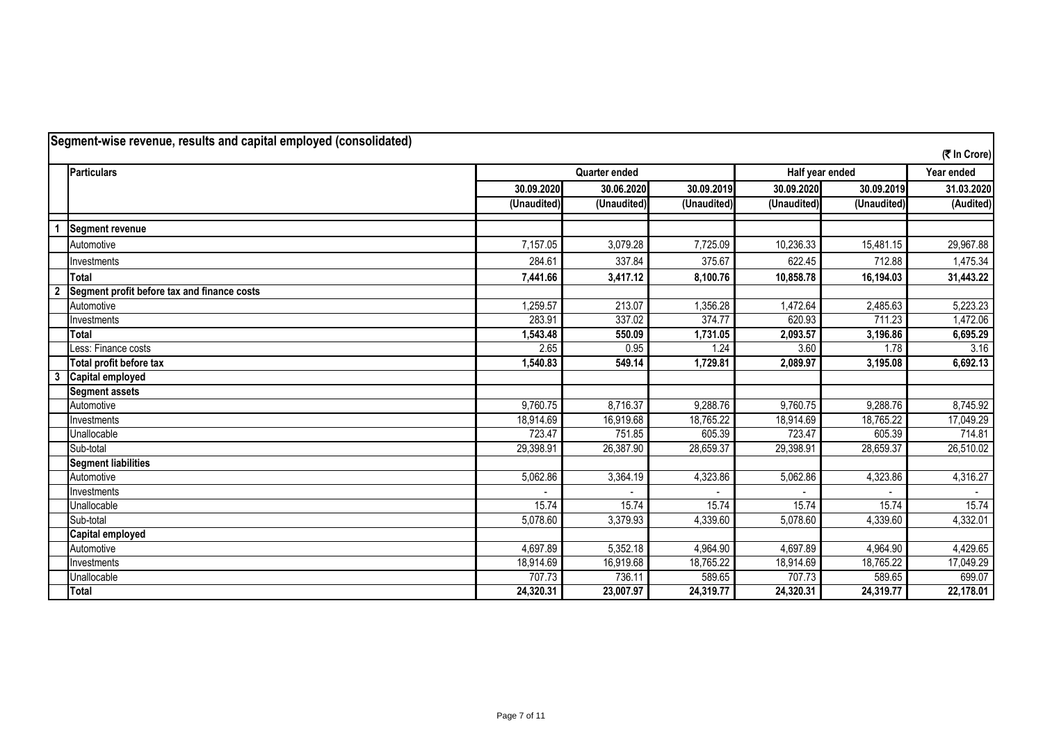|                         | Segment-wise revenue, results and capital employed (consolidated) |             |               |             |             |                 | (₹ In Crore) |
|-------------------------|-------------------------------------------------------------------|-------------|---------------|-------------|-------------|-----------------|--------------|
|                         | <b>Particulars</b>                                                |             | Quarter ended |             |             | Half year ended | Year ended   |
|                         |                                                                   | 30.09.2020  | 30.06.2020    | 30.09.2019  | 30.09.2020  | 30.09.2019      | 31.03.2020   |
|                         |                                                                   | (Unaudited) | (Unaudited)   | (Unaudited) | (Unaudited) | (Unaudited)     | (Audited)    |
|                         | <b>Segment revenue</b>                                            |             |               |             |             |                 |              |
|                         | Automotive                                                        | 7,157.05    | 3,079.28      | 7,725.09    | 10,236.33   | 15,481.15       | 29,967.88    |
|                         | Investments                                                       | 284.61      | 337.84        | 375.67      | 622.45      | 712.88          | 1,475.34     |
|                         | <b>Total</b>                                                      | 7,441.66    | 3,417.12      | 8,100.76    | 10,858.78   | 16,194.03       | 31,443.22    |
| $\overline{2}$          | Segment profit before tax and finance costs                       |             |               |             |             |                 |              |
|                         | Automotive                                                        | 1,259.57    | 213.07        | 1,356.28    | 1,472.64    | 2,485.63        | 5,223.23     |
|                         | Investments                                                       | 283.91      | 337.02        | 374.77      | 620.93      | 711.23          | 1,472.06     |
|                         | Total                                                             | 1,543.48    | 550.09        | 1,731.05    | 2,093.57    | 3,196.86        | 6,695.29     |
|                         | Less: Finance costs                                               | 2.65        | 0.95          | 1.24        | 3.60        | 1.78            | 3.16         |
|                         | Total profit before tax                                           | 1,540.83    | 549.14        | 1,729.81    | 2,089.97    | 3,195.08        | 6,692.13     |
| $\overline{\mathbf{3}}$ | Capital employed                                                  |             |               |             |             |                 |              |
|                         | <b>Segment assets</b>                                             |             |               |             |             |                 |              |
|                         | Automotive                                                        | 9,760.75    | 8,716.37      | 9.288.76    | 9,760.75    | 9,288.76        | 8,745.92     |
|                         | Investments                                                       | 18,914.69   | 16,919.68     | 18,765.22   | 18,914.69   | 18,765.22       | 17,049.29    |
|                         | Unallocable                                                       | 723.47      | 751.85        | 605.39      | 723.47      | 605.39          | 714.81       |
|                         | Sub-total                                                         | 29,398.91   | 26,387.90     | 28,659.37   | 29,398.91   | 28,659.37       | 26,510.02    |
|                         | <b>Segment liabilities</b>                                        |             |               |             |             |                 |              |
|                         | Automotive                                                        | 5,062.86    | 3,364.19      | 4,323.86    | 5,062.86    | 4,323.86        | 4,316.27     |
|                         | Investments                                                       |             |               |             |             |                 |              |
|                         | Unallocable                                                       | 15.74       | 15.74         | 15.74       | 15.74       | 15.74           | 15.74        |
|                         | Sub-total                                                         | 5,078.60    | 3,379.93      | 4,339.60    | 5,078.60    | 4,339.60        | 4,332.01     |
|                         | <b>Capital employed</b>                                           |             |               |             |             |                 |              |
|                         | Automotive                                                        | 4,697.89    | 5,352.18      | 4,964.90    | 4,697.89    | 4,964.90        | 4,429.65     |
|                         | Investments                                                       | 18,914.69   | 16,919.68     | 18,765.22   | 18,914.69   | 18,765.22       | 17,049.29    |
|                         | Unallocable                                                       | 707.73      | 736.11        | 589.65      | 707.73      | 589.65          | 699.07       |
|                         | Total                                                             | 24,320.31   | 23,007.97     | 24,319.77   | 24,320.31   | 24,319.77       | 22,178.01    |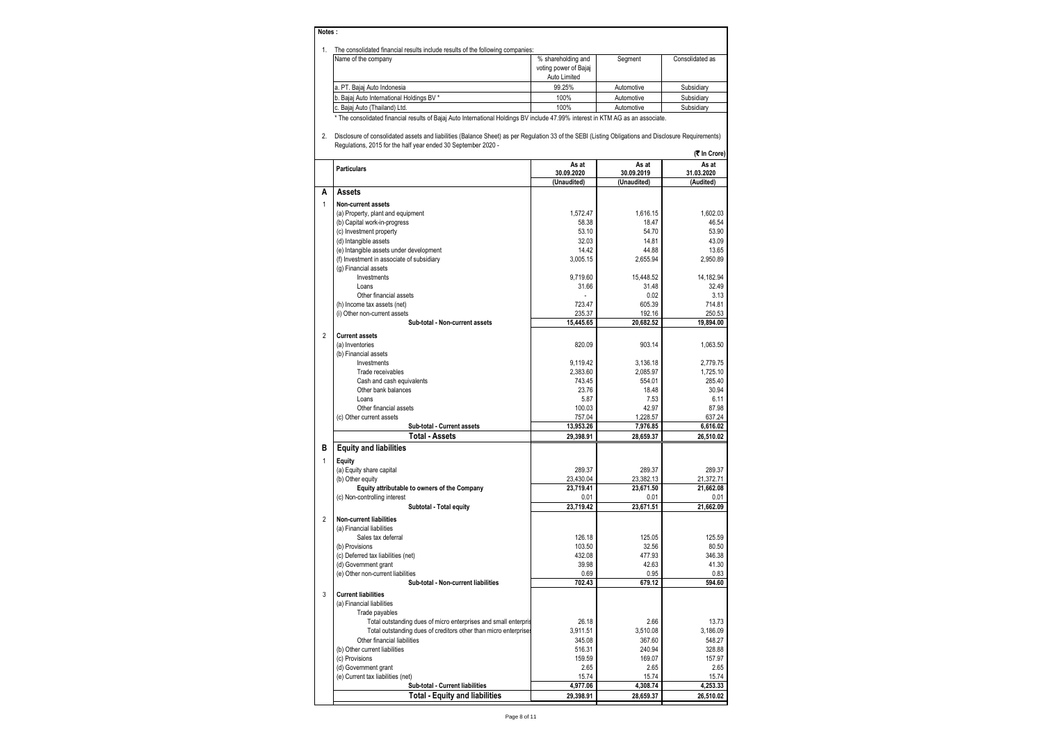## **Notes :**

|  | The consolidated financial results include results of the following companies: |  |
|--|--------------------------------------------------------------------------------|--|
|--|--------------------------------------------------------------------------------|--|

| The consolidated financial results include results of the following companies: |                       |            |                 |
|--------------------------------------------------------------------------------|-----------------------|------------|-----------------|
| Name of the company                                                            | % shareholding and    | Seament    | Consolidated as |
|                                                                                | voting power of Bajaj |            |                 |
|                                                                                | Auto Limited          |            |                 |
| a. PT. Baiai Auto Indonesia                                                    | 99.25%                | Automotive | Subsidiary      |
| b. Bajaj Auto International Holdings BV *                                      | 100%                  | Automotive | Subsidiarv      |
| c. Bajaj Auto (Thailand) Ltd.                                                  | 100%                  | Automotive | Subsidiary      |
|                                                                                |                       |            |                 |

\* The consolidated financial results of Bajaj Auto International Holdings BV include 47.99% interest in KTM AG as an associate.

2. Disclosure of consolidated assets and liabilities (Balance Sheet) as per Regulation 33 of the SEBI (Listing Obligations and Disclosure Requirements) Regulations, 2015 for the half year ended 30 September 2020 - **(**` **In Crore)**

|                |                                                                  |                                    |                                    | יו טוש ווו                       |
|----------------|------------------------------------------------------------------|------------------------------------|------------------------------------|----------------------------------|
|                | <b>Particulars</b>                                               | As at<br>30.09.2020<br>(Unaudited) | As at<br>30.09.2019<br>(Unaudited) | As at<br>31.03.2020<br>(Audited) |
| A              | Assets                                                           |                                    |                                    |                                  |
| $\mathbf{1}$   | Non-current assets                                               |                                    |                                    |                                  |
|                | (a) Property, plant and equipment                                | 1,572.47                           | 1,616.15                           | 1,602.03                         |
|                | (b) Capital work-in-progress                                     | 58.38                              | 18.47                              | 46.54                            |
|                | (c) Investment property                                          | 53.10                              | 54.70                              | 53.90                            |
|                | (d) Intangible assets                                            | 32.03                              | 14.81                              | 43.09                            |
|                | (e) Intangible assets under development                          | 14.42                              | 44.88                              | 13.65                            |
|                | (f) Investment in associate of subsidiary                        | 3,005.15                           | 2,655.94                           | 2,950.89                         |
|                | (g) Financial assets                                             |                                    |                                    |                                  |
|                | Investments                                                      | 9,719.60                           | 15,448.52                          | 14,182.94                        |
|                | Loans                                                            | 31.66                              | 31.48                              | 32.49                            |
|                | Other financial assets                                           |                                    | 0.02                               | 3.13                             |
|                | (h) Income tax assets (net)                                      | 723.47                             | 605.39                             | 714.81                           |
|                | (i) Other non-current assets<br>Sub-total - Non-current assets   | 235.37<br>15,445.65                | 192.16<br>20,682.52                | 250.53<br>19,894.00              |
|                |                                                                  |                                    |                                    |                                  |
| $\overline{2}$ | <b>Current assets</b>                                            |                                    |                                    |                                  |
|                | (a) Inventories                                                  | 820.09                             | 903.14                             | 1,063.50                         |
|                | (b) Financial assets<br>Investments                              | 9,119.42                           | 3,136.18                           | 2.779.75                         |
|                | Trade receivables                                                | 2,383.60                           | 2,085.97                           | 1,725.10                         |
|                | Cash and cash equivalents                                        | 743.45                             | 554.01                             | 285.40                           |
|                | Other bank balances                                              | 23.76                              | 18.48                              | 30.94                            |
|                | Loans                                                            | 5.87                               | 7.53                               | 6.11                             |
|                | Other financial assets                                           | 100.03                             | 42.97                              | 87.98                            |
|                | (c) Other current assets                                         | 757.04                             | 1,228.57                           | 637.24                           |
|                | Sub-total - Current assets                                       | 13,953.26                          | 7,976.85                           | 6,616.02                         |
|                | <b>Total - Assets</b>                                            | 29.398.91                          | 28,659.37                          | 26,510.02                        |
| в              | <b>Equity and liabilities</b>                                    |                                    |                                    |                                  |
| $\mathbf{1}$   | Equity                                                           |                                    |                                    |                                  |
|                | (a) Equity share capital                                         | 289.37                             | 289.37                             | 289.37                           |
|                | (b) Other equity                                                 | 23,430.04                          | 23,382.13                          | 21,372.71                        |
|                | Equity attributable to owners of the Company                     | 23,719.41                          | 23,671.50                          | 21,662.08                        |
|                | (c) Non-controlling interest                                     | 0.01                               | 0.01                               | 0.01                             |
|                | Subtotal - Total equity                                          | 23,719.42                          | 23,671.51                          | 21,662.09                        |
| $\overline{2}$ | <b>Non-current liabilities</b>                                   |                                    |                                    |                                  |
|                | (a) Financial liabilities                                        |                                    |                                    |                                  |
|                | Sales tax deferral                                               | 126.18                             | 125.05                             | 125.59                           |
|                | (b) Provisions                                                   | 103.50                             | 32.56                              | 80.50                            |
|                | (c) Deferred tax liabilities (net)                               | 432.08                             | 477.93                             | 346.38                           |
|                | (d) Government grant                                             | 39.98                              | 42.63                              | 41.30                            |
|                | (e) Other non-current liabilities                                | 0.69                               | 0.95                               | 0.83                             |
|                | Sub-total - Non-current liabilities                              | 702.43                             | 679.12                             | 594.60                           |
| 3              | <b>Current liabilities</b>                                       |                                    |                                    |                                  |
|                | (a) Financial liabilities                                        |                                    |                                    |                                  |
|                | Trade payables                                                   |                                    |                                    |                                  |
|                | Total outstanding dues of micro enterprises and small enterpris  | 26.18                              | 2.66                               | 13.73                            |
|                | Total outstanding dues of creditors other than micro enterprises | 3.911.51                           | 3.510.08                           | 3.186.09                         |
|                | Other financial liabilities                                      | 345.08                             | 367.60                             | 548.27                           |
|                | (b) Other current liabilities                                    | 516.31                             | 240.94                             | 328.88                           |
|                | (c) Provisions<br>(d) Government grant                           | 159.59<br>2.65                     | 169.07<br>2.65                     | 157.97<br>2.65                   |
|                | (e) Current tax liabilities (net)                                | 15.74                              | 15.74                              | 15.74                            |
|                | Sub-total - Current liabilities                                  | 4,977.06                           | 4,308.74                           | 4,253.33                         |
|                | <b>Total - Equity and liabilities</b>                            | 29,398.91                          | 28,659.37                          | 26,510.02                        |
|                |                                                                  |                                    |                                    |                                  |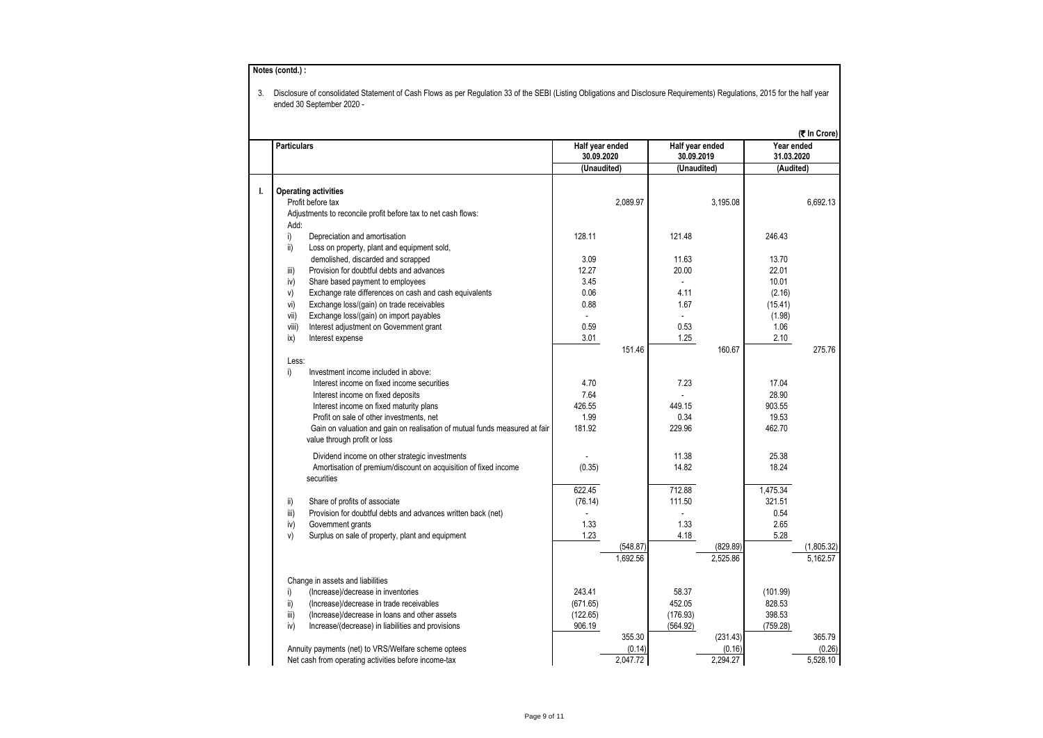|                                                                                                            |                               |          |                               |          |                          | (₹ In Crore) |
|------------------------------------------------------------------------------------------------------------|-------------------------------|----------|-------------------------------|----------|--------------------------|--------------|
| <b>Particulars</b>                                                                                         | Half year ended<br>30.09.2020 |          | Half year ended<br>30.09.2019 |          | Year ended<br>31.03.2020 |              |
|                                                                                                            | (Unaudited)                   |          | (Unaudited)                   |          | (Audited)                |              |
| <b>Operating activities</b>                                                                                |                               |          |                               |          |                          |              |
| Profit before tax                                                                                          |                               | 2,089.97 |                               | 3,195.08 |                          | 6,692.13     |
| Adjustments to reconcile profit before tax to net cash flows:                                              |                               |          |                               |          |                          |              |
| Add:                                                                                                       |                               |          |                               |          |                          |              |
| i)<br>Depreciation and amortisation                                                                        | 128.11                        |          | 121.48                        |          | 246.43                   |              |
| ii)<br>Loss on property, plant and equipment sold,                                                         |                               |          |                               |          |                          |              |
| demolished, discarded and scrapped                                                                         | 3.09                          |          | 11.63                         |          | 13.70                    |              |
| Provision for doubtful debts and advances<br>iii)                                                          | 12.27                         |          | 20.00                         |          | 22.01                    |              |
| iv)<br>Share based payment to employees                                                                    | 3.45                          |          | ä,                            |          | 10.01                    |              |
| V)<br>Exchange rate differences on cash and cash equivalents                                               | 0.06                          |          | 4.11                          |          | (2.16)                   |              |
| vi)<br>Exchange loss/(gain) on trade receivables                                                           | 0.88                          |          | 1.67                          |          | (15.41)                  |              |
| vii)<br>Exchange loss/(gain) on import payables                                                            | $\mathbf{r}$                  |          | $\mathbf{r}$                  |          | (1.98)                   |              |
| viii)<br>Interest adjustment on Government grant                                                           | 0.59                          |          | 0.53                          |          | 1.06                     |              |
| ix)<br>Interest expense                                                                                    | 3.01                          |          | 1.25                          |          | 2.10                     |              |
|                                                                                                            |                               | 151.46   |                               | 160.67   |                          | 275.76       |
| Less:                                                                                                      |                               |          |                               |          |                          |              |
| i)<br>Investment income included in above:                                                                 |                               |          |                               |          |                          |              |
| Interest income on fixed income securities                                                                 | 4.70                          |          | 7.23                          |          | 17.04                    |              |
| Interest income on fixed deposits                                                                          | 7.64                          |          |                               |          | 28.90                    |              |
| Interest income on fixed maturity plans                                                                    | 426.55<br>1.99                |          | 449.15                        |          | 903.55<br>19.53          |              |
| Profit on sale of other investments, net                                                                   | 181.92                        |          | 0.34<br>229.96                |          | 462.70                   |              |
| Gain on valuation and gain on realisation of mutual funds measured at fair<br>value through profit or loss |                               |          |                               |          |                          |              |
|                                                                                                            |                               |          |                               |          |                          |              |
| Dividend income on other strategic investments                                                             |                               |          | 11.38                         |          | 25.38                    |              |
| Amortisation of premium/discount on acquisition of fixed income<br>securities                              | (0.35)                        |          | 14.82                         |          | 18.24                    |              |
|                                                                                                            | 622.45                        |          | 712.88                        |          | 1,475.34                 |              |
|                                                                                                            |                               |          | 111.50                        |          | 321.51                   |              |
| ii)<br>Share of profits of associate<br>iii)                                                               | (76.14)                       |          |                               |          | 0.54                     |              |
| Provision for doubtful debts and advances written back (net)<br>iv)<br>Government grants                   | 1.33                          |          | 1.33                          |          | 2.65                     |              |
| V)<br>Surplus on sale of property, plant and equipment                                                     | 1.23                          |          | 4.18                          |          | 5.28                     |              |
|                                                                                                            |                               | (548.87) |                               | (829.89) |                          | (1,805.32)   |
|                                                                                                            |                               | 1,692.56 |                               | 2,525.86 |                          | 5,162.57     |
| Change in assets and liabilities                                                                           |                               |          |                               |          |                          |              |
| i)<br>(Increase)/decrease in inventories                                                                   | 243.41                        |          | 58.37                         |          | (101.99)                 |              |
| ii)<br>(Increase)/decrease in trade receivables                                                            | (671.65)                      |          | 452.05                        |          | 828.53                   |              |
| iii)<br>(Increase)/decrease in loans and other assets                                                      | (122.65)                      |          | (176.93)                      |          | 398.53                   |              |
| iv)<br>Increase/(decrease) in liabilities and provisions                                                   | 906.19                        |          | (564.92)                      |          | (759.28)                 |              |
|                                                                                                            |                               | 355.30   |                               | (231.43) |                          | 365.79       |
| Annuity payments (net) to VRS/Welfare scheme optees                                                        |                               | (0.14)   |                               | (0.16)   |                          | (0.26)       |
| Net cash from operating activities before income-tax                                                       |                               | 2,047.72 |                               | 2,294.27 |                          | 5,528.10     |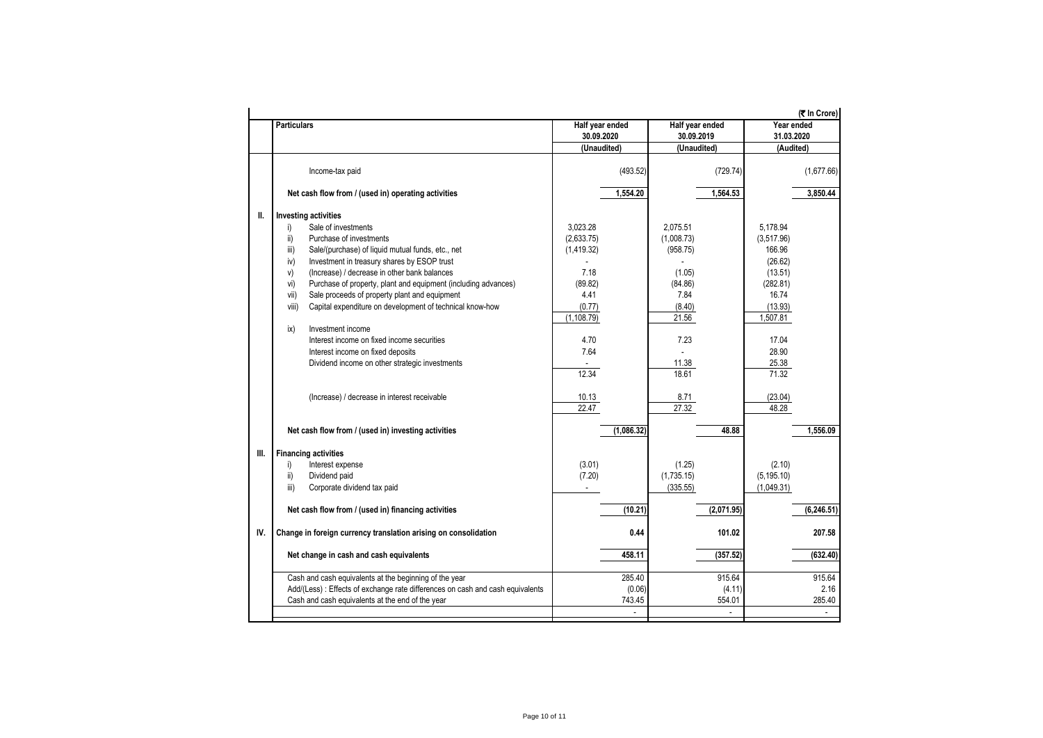|      |                                                                                |                               |                               | (<br>The Crore)          |
|------|--------------------------------------------------------------------------------|-------------------------------|-------------------------------|--------------------------|
|      | <b>Particulars</b>                                                             | Half year ended<br>30.09.2020 | Half year ended<br>30.09.2019 | Year ended<br>31.03.2020 |
|      |                                                                                | (Unaudited)                   | (Unaudited)                   | (Audited)                |
|      | Income-tax paid                                                                | (493.52)                      | (729.74)                      | (1,677.66)               |
|      | Net cash flow from / (used in) operating activities                            | 1,554.20                      | 1,564.53                      | 3.850.44                 |
| Ш.   | <b>Investing activities</b>                                                    |                               |                               |                          |
|      | Sale of investments<br>i)                                                      | 3,023.28                      | 2,075.51                      | 5,178.94                 |
|      | ii)<br>Purchase of investments                                                 | (2,633.75)                    | (1,008.73)                    | (3,517.96)               |
|      | iii)<br>Sale/(purchase) of liquid mutual funds, etc., net                      | (1,419.32)                    | (958.75)                      | 166.96                   |
|      | iv)<br>Investment in treasury shares by ESOP trust                             |                               |                               | (26.62)                  |
|      | (Increase) / decrease in other bank balances<br>V)                             | 7.18                          | (1.05)                        | (13.51)                  |
|      | Purchase of property, plant and equipment (including advances)<br>vi)          | (89.82)                       | (84.86)                       | (282.81)                 |
|      | Sale proceeds of property plant and equipment<br>vii)                          | 4.41                          | 7.84                          | 16.74                    |
|      | Capital expenditure on development of technical know-how<br>viii)              | (0.77)                        | (8.40)                        | (13.93)                  |
|      |                                                                                | (1, 108.79)                   | 21.56                         | 1,507.81                 |
|      | Investment income<br>ix)                                                       |                               |                               |                          |
|      | Interest income on fixed income securities                                     | 4.70                          | 7.23                          | 17.04                    |
|      | Interest income on fixed deposits                                              | 7.64                          |                               | 28.90                    |
|      | Dividend income on other strategic investments                                 |                               | 11.38                         | 25.38                    |
|      |                                                                                | 12.34                         | 18.61                         | 71.32                    |
|      | (Increase) / decrease in interest receivable                                   | 10.13<br>22.47                | 8.71<br>27.32                 | (23.04)<br>48.28         |
|      | Net cash flow from / (used in) investing activities                            | (1,086.32)                    | 48.88                         | 1,556.09                 |
| III. | <b>Financing activities</b>                                                    |                               |                               |                          |
|      | Interest expense<br>i)                                                         | (3.01)                        | (1.25)                        | (2.10)                   |
|      | ii)<br>Dividend paid                                                           | (7.20)                        | (1,735.15)                    | (5, 195.10)              |
|      | Corporate dividend tax paid<br>iii)                                            | $\sim$                        | (335.55)                      | (1,049.31)               |
|      |                                                                                |                               |                               |                          |
|      | Net cash flow from / (used in) financing activities                            | (10.21)                       | (2,071.95)                    | (6, 246.51)              |
| IV.  | Change in foreign currency translation arising on consolidation                | 0.44                          | 101.02                        | 207.58                   |
|      | Net change in cash and cash equivalents                                        | 458.11                        | (357.52)                      | (632.40)                 |
|      | Cash and cash equivalents at the beginning of the year                         | 285.40                        | 915.64                        | 915.64                   |
|      | Add/(Less) : Effects of exchange rate differences on cash and cash equivalents | (0.06)                        | (4.11)                        | 2.16                     |
|      | Cash and cash equivalents at the end of the year                               | 743.45                        | 554.01                        | 285.40                   |
|      |                                                                                | $\mathbf{r}$                  | $\mathcal{L}_{\mathcal{A}}$   | ÷.                       |
|      |                                                                                |                               |                               |                          |